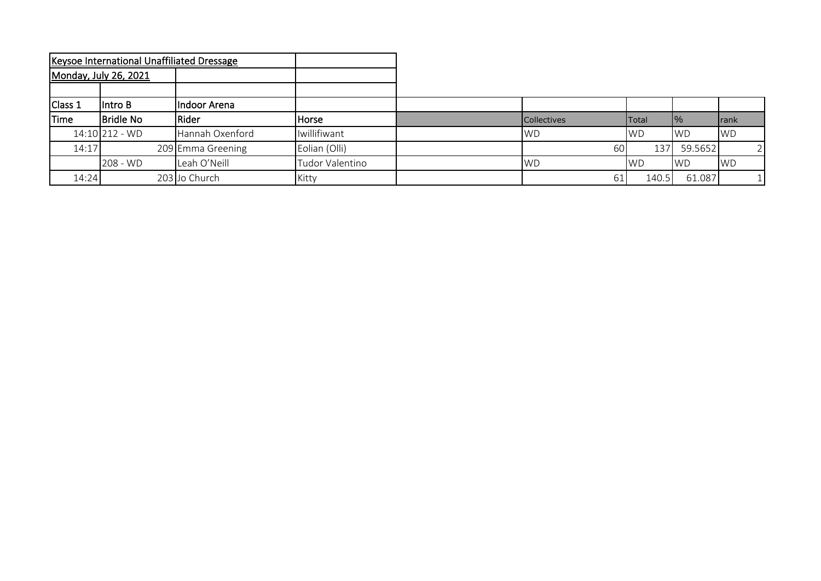| Keysoe International Unaffiliated Dressage |                  |                   |                 |                    |              |               |           |
|--------------------------------------------|------------------|-------------------|-----------------|--------------------|--------------|---------------|-----------|
| Monday, July 26, 2021                      |                  |                   |                 |                    |              |               |           |
|                                            |                  |                   |                 |                    |              |               |           |
| Class 1                                    | Intro B          | IIndoor Arena     |                 |                    |              |               |           |
| <b>Time</b>                                | <b>Bridle No</b> | Rider             | Horse           | <b>Collectives</b> | <b>Total</b> | $\frac{1}{6}$ | Irank     |
|                                            | $14:10$ 212 - WD | Hannah Oxenford   | Iwillifiwant    | <b>WD</b>          | <b>WD</b>    | WD.           | <b>WD</b> |
| 14:17                                      |                  | 209 Emma Greening | Eolian (Olli)   | 60                 | 137          | 59.5652       | C.        |
|                                            | 208 - WD         | Leah O'Neill      | Tudor Valentino | <b>WD</b>          | <b>WD</b>    | <b>WD</b>     | <b>WD</b> |
| 14:24                                      |                  | 203 Jo Church     | Kitty           | 61                 | 140.5        | 61.087        |           |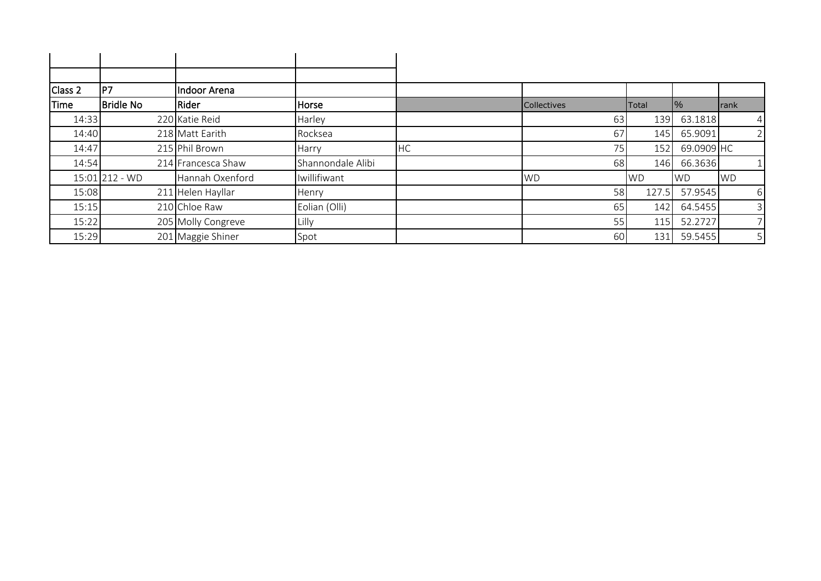| Class <sub>2</sub> | P7               | Indoor Arena       |                   |           |                    |           |               |                |
|--------------------|------------------|--------------------|-------------------|-----------|--------------------|-----------|---------------|----------------|
| <b>Time</b>        | <b>Bridle No</b> | Rider              | Horse             |           | <b>Collectives</b> | Total     | $\frac{9}{6}$ | rank           |
| 14:33              |                  | 220 Katie Reid     | Harley            |           | 63                 | 139       | 63.1818       | $\overline{4}$ |
| 14:40              |                  | 218 Matt Earith    | Rocksea           |           | 67                 | 145       | 65.9091       | C.             |
| 14:47              |                  | 215 Phil Brown     | Harry             | <b>HC</b> | 75                 | 152       | 69.0909 HC    |                |
| 14:54              |                  | 214 Francesca Shaw | Shannondale Alibi |           | 68                 | 146       | 66.3636       |                |
|                    | 15:01 212 - WD   | Hannah Oxenford    | Iwillifiwant      |           | <b>WD</b>          | <b>WD</b> | <b>WD</b>     | <b>WD</b>      |
| 15:08              |                  | 211 Helen Hayllar  | Henry             |           | 58                 | 127.5     | 57.9545       | 6              |
| 15:15              |                  | 210 Chloe Raw      | Eolian (Olli)     |           | 65                 | 142       | 64.5455       | 3 <sup>1</sup> |
| 15:22              |                  | 205 Molly Congreve | Lilly             |           | 55                 | 115       | 52.2727       |                |
| 15:29              |                  | 201 Maggie Shiner  | Spot              |           | 60                 | 131       | 59.5455       | 5 <sup>1</sup> |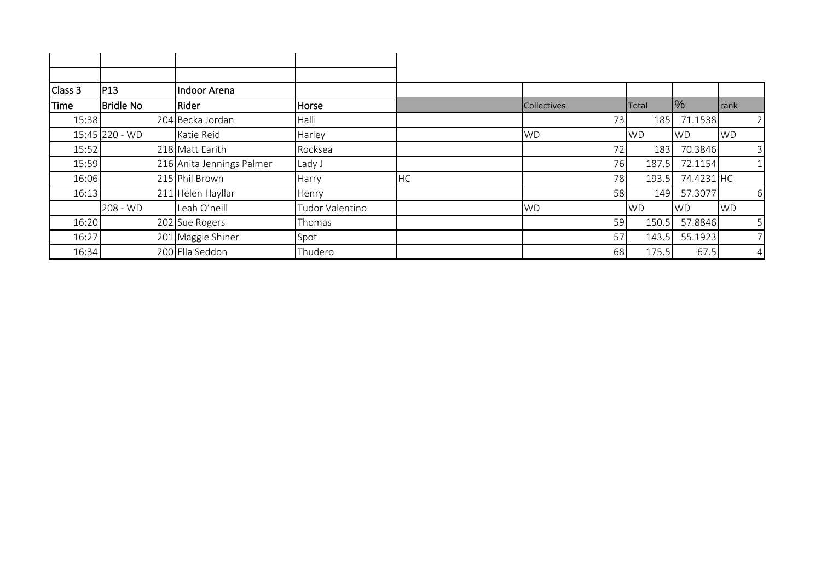| Class 3 | P <sub>13</sub>  | Indoor Arena              |                 |    |             |           |               |                |
|---------|------------------|---------------------------|-----------------|----|-------------|-----------|---------------|----------------|
| Time    | <b>Bridle No</b> | Rider                     | Horse           |    | Collectives | Total     | $\frac{9}{6}$ | rank           |
| 15:38   |                  | 204 Becka Jordan          | Halli           |    | 73          | 185       | 71.1538       |                |
|         | 15:45 220 - WD   | Katie Reid                | Harley          |    | <b>WD</b>   | <b>WD</b> | <b>WD</b>     | <b>WD</b>      |
| 15:52   |                  | 218 Matt Earith           | Rocksea         |    | 72          | 183       | 70.3846       | $\overline{3}$ |
| 15:59   |                  | 216 Anita Jennings Palmer | Lady J          |    | 76          | 187.5     | 72.1154       |                |
| 16:06   |                  | 215 Phil Brown            | Harry           | HC | 78          | 193.5     | 74.4231 HC    |                |
| 16:13   |                  | 211 Helen Hayllar         | Henry           |    | 58          | 149       | 57.3077       | $6 \mid$       |
|         | $208 - WD$       | Leah O'neill              | Tudor Valentino |    | <b>WD</b>   | <b>WD</b> | <b>WD</b>     | <b>WD</b>      |
| 16:20   |                  | 202 Sue Rogers            | Thomas          |    | 59          | 150.5     | 57.8846       | 5              |
| 16:27   |                  | 201 Maggie Shiner         | Spot            |    | 57          | 143.5     | 55.1923       |                |
| 16:34   |                  | 200 Ella Seddon           | Thudero         |    | 68          | 175.5     | 67.5          | 4 <sub>l</sub> |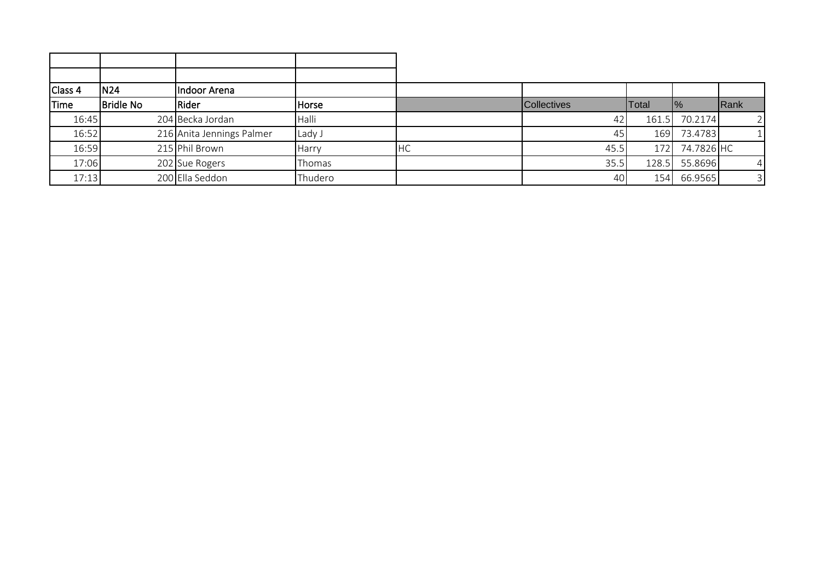| Class 4     | <b>N24</b>       | Indoor Arena              |         |           |                    |                  |               |                 |
|-------------|------------------|---------------------------|---------|-----------|--------------------|------------------|---------------|-----------------|
| <b>Time</b> | <b>Bridle No</b> | Rider                     | Horse   |           | <b>Collectives</b> | Total            | $\frac{9}{6}$ | Rank            |
| 16:45       |                  | 204 Becka Jordan          | Halli   |           | 42                 | 161.5            | 70.2174       |                 |
| 16:52       |                  | 216 Anita Jennings Palmer | Lady J  |           | 45                 | 169              | 73.4783       |                 |
| 16:59       |                  | 215 Phil Brown            | Harry   | <b>HC</b> | 45.5               | 172              | 74.7826 HC    |                 |
| 17:06       |                  | 202 Sue Rogers            | Thomas  |           | 35.5               | 128.5            | 55.8696       | $\vert 4 \vert$ |
| 17:13       |                  | 200 Ella Seddon           | Thudero |           | 40                 | 154 <sup> </sup> | 66.9565       | 3 <sup>1</sup>  |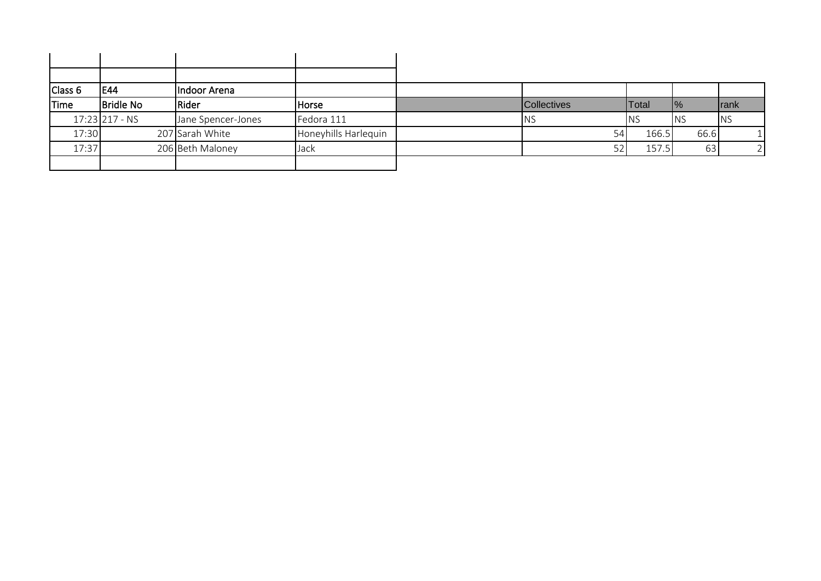| Class 6     | E44              | Indoor Arena       |                      |                    |            |               |               |
|-------------|------------------|--------------------|----------------------|--------------------|------------|---------------|---------------|
| <b>Time</b> | <b>Bridle No</b> | Rider              | lHorse               | <b>Collectives</b> | Total      | $\frac{1}{6}$ | <b>I</b> rank |
|             | 17:23 217 - NS   | Jane Spencer-Jones | Fedora 111           | <b>NS</b>          | <b>INS</b> | <b>NS</b>     | <b>INS</b>    |
| 17:30       |                  | 207 Sarah White    | Honeyhills Harlequin | 54                 | 166.5      | 66.6          |               |
| 17:37       |                  | 206 Beth Maloney   | Jack                 |                    | 157.5      | 63            | つー            |
|             |                  |                    |                      |                    |            |               |               |